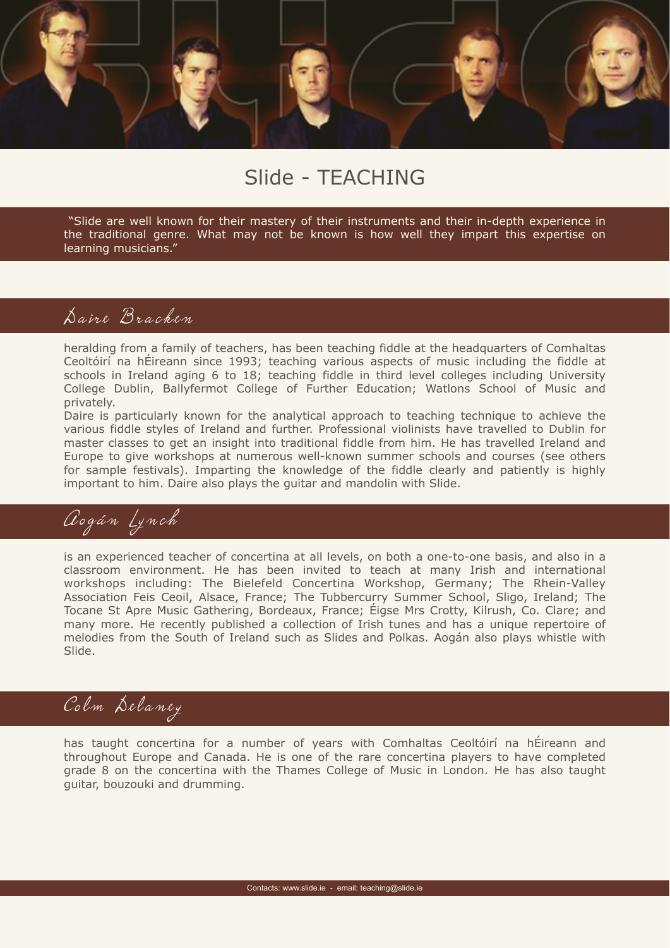

### Slide - TEACHING

 "Slide are well known for their mastery of their instruments and their in-depth experience in the traditional genre. What may not be known is how well they impart this expertise on learning musicians."

#### Daire Bracken

heralding from a family of teachers, has been teaching fiddle at the headquarters of Comhaltas Ceoltóirí na hÉireann since 1993; teaching various aspects of music including the fiddle at schools in Ireland aging 6 to 18; teaching fiddle in third level colleges including University College Dublin, Ballyfermot College of Further Education; Watlons School of Music and privately.

Daire is particularly known for the analytical approach to teaching technique to achieve the various fiddle styles of Ireland and further. Professional violinists have travelled to Dublin for master classes to get an insight into traditional fiddle from him. He has travelled Ireland and Europe to give workshops at numerous well-known summer schools and courses (see others for sample festivals). Imparting the knowledge of the fiddle clearly and patiently is highly important to him. Daire also plays the guitar and mandolin with Slide.

# Aogán Lynch

is an experienced teacher of concertina at all levels, on both a one-to-one basis, and also in a classroom environment. He has been invited to teach at many Irish and international workshops including: The Bielefeld Concertina Workshop, Germany; The Rhein-Valley Association Feis Ceoil, Alsace, France; The Tubbercurry Summer School, Sligo, Ireland; The Tocane St Apre Music Gathering, Bordeaux, France; Éigse Mrs Crotty, Kilrush, Co. Clare; and many more. He recently published a collection of Irish tunes and has a unique repertoire of melodies from the South of Ireland such as Slides and Polkas. Aogán also plays whistle with Slide.

## Colm Delaney

has taught concertina for a number of years with Comhaltas Ceoltóirí na hÉireann and throughout Europe and Canada. He is one of the rare concertina players to have completed grade 8 on the concertina with the Thames College of Music in London. He has also taught guitar, bouzouki and drumming.